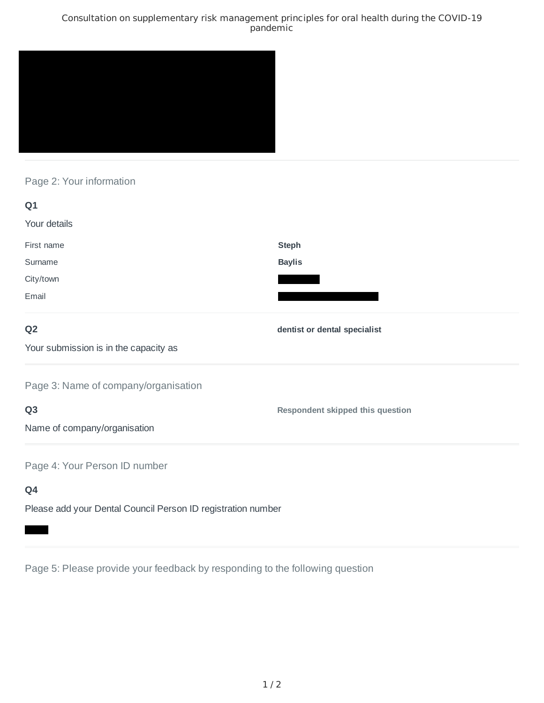### Consultation on supplementary risk management principles for oral health during the COVID-19 pandemic



## Page 2: Your information

| Q1                                                           |                                         |
|--------------------------------------------------------------|-----------------------------------------|
| Your details                                                 |                                         |
| First name                                                   | <b>Steph</b>                            |
| Surname                                                      | <b>Baylis</b>                           |
| City/town                                                    |                                         |
| Email                                                        |                                         |
| Q <sub>2</sub>                                               | dentist or dental specialist            |
| Your submission is in the capacity as                        |                                         |
| Page 3: Name of company/organisation                         |                                         |
| Q <sub>3</sub>                                               | <b>Respondent skipped this question</b> |
| Name of company/organisation                                 |                                         |
| Page 4: Your Person ID number                                |                                         |
| Q4                                                           |                                         |
| Please add your Dental Council Person ID registration number |                                         |

Page 5: Please provide your feedback by responding to the following question